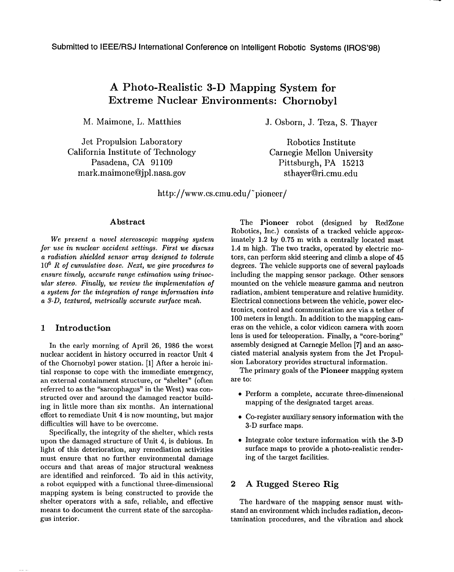# **A Photo-Realistic 3-D Mapping System for Extreme Nuclear Environments: Chernobyl**

Jet Propulsion Laboratory Robotics Institute California Institute of Technology Carnegie Mellon University Pasadena, CA 91109 Pittsburgh, PA 15213 mark, maimone@jpl,nasa.gov sthayer@ri.cmu.edu

M. Maimone, L. Matthies J. Osborn, J. Teza, S. Thayer

http://www.cs.cmu.edu/~pioneer/

# Abstract

*We* present a *novel* stereoscopic *mapping system for use in nuclear accident settings.* First we *discuss a radiation shielded sensor array designed to tolerate IC16R of cumulative dose, Next, we give procedures to* ensure *timely, accurate range* estimation using *trinocular stereo. Finally, we review the* implementation o} a system for *the integration of range information* into a *3-D, textured, metrically accurate* surface *mesh,*

# 1 Introduction

In the early morning of April 26, 1986 the worst nuclear accident in history occurred in reactor Unit 4 of the Chornobyl power station. [1] After a heroic initial response to cope with the immediate emergency, an external containment structure, or "shelter" (often referred to as the "sarcophagus" in the West) was constructed over and around the damaged reactor building in little more than six months. An international effort to remediate Unit 4 is now mounting, but major difficulties will have to be overcome.

Specifically, the integrity of the shelter, which rests upon the damaged structure of Unit 4, is dubious. In light of this deterioration, any remediation activities must ensure that no further environmental damage occurs and that, areas of major structural weakness are identified and reinforced. To aid in this activity, a robot equipped with a functional three-dimensional mapping system is being constructed to provide the shelter operators with a safe, reliable, and effective means to document the current state of the sarcophagus interior.

The Pioneer robot (designed by RedZone Robotics, Inc.) consists of a tracked vehicle approximately 1.2 by 0.75 m with a centrally located mast 1.4 m high. The two tracks, operated by electric motors, can perform skid steering and climb a slope of 45 degrees. The vehicle supports one of several payloads including the mapping sensor package. Other sensors mounted on the vehicle measure gamma and neutron radiation, ambient temperature and relative humidity. Electrical connections between the vehicle, power electronics, control and communication are via a tether of 100 meters in length, In addition to the mapping cameras on the vehicle, a color vidicon camera with zoom lens is used for teleoperation. Finally, a "core-boring" assembly designed at Carnegie Mellon [7] and an associated material analysis system from the Jet Propulsion Laboratory provides structural information.

The primary goals of the **Pioneer** mapping system are to:

- $\bullet$  Perform a complete, accurate three-dimensic mapping of the designated target areas.
- Co-register auxiliary sensory information with the 3-D surface maps.
- Integrate color texture information with the 3-L surface maps to provide a photo-realistic rendering of the target facilities.

#### 2 A Rugged Stereo Rig

The hardware of the mapping sensor must withstand an environment which includes radiaticm, decontamination procedures, and the vibration and shock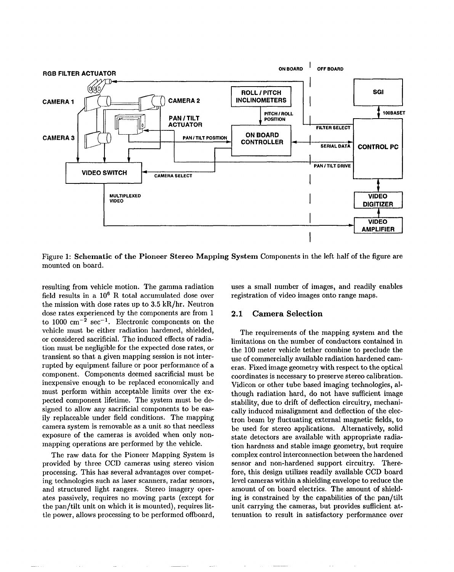

Figure 1: Schematic of the Pioneer Stereo Mapping System Components in the left half of the figure are mounted on board.

resulting from vehicle motion. The gamma radiation field results in a  $10^6$  R total accumulated dose over the mission with dose rates up to 3.5 kR/hr. Neutron dose rates experienced by the components are from 1 to 1000  $\text{cm}^{-2}$  sec<sup>-1</sup>. Electronic components on the vehicle must be either radiation hardened, shielded, or considered sacrificial. The induced effects of radiation must be negligible for the expected dose rates, or transient so that a given mapping session is not interrupted by equipment failure or poor performance of a component. Components deemed sacrificial must be inexpensive enough to be replaced economically and must perform within acceptable limits over the expected component lifetime. The system must be designed to allow any sacrificial components to be easily replaceable under field conditions. The mapping camera system is removable as a unit so that needless exposure of the cameras is avoided when only nonmapping operations are performed by the vehicle.

The raw data for the Pioneer Mapping System is provided by three CCD cameras using stereo vision processing. This haa several advantages over competing technologies such as laser scanners, radar sensors, and structured light rangers. Stereo imagery operates passively, requires no moving parts (except for the pan/tilt unit on which it is mounted), requires little power, allows processing to be performed offboard,

uses a small number of images, and readily enables registration of video images onto range maps.

### 2.1 Camera Selection

The requirements of the mapping system and the limitations on the number of conductors contained in the 100 meter vehicle tether combine to preclude the use of commercially available radiation hardened cameras. Fixed image geometry with respect to the optical coordinates is necessary to preserve stereo calibration. Vidicon or other tube based imaging technologies, although radiation hard, do not have sufficient image stability, due to drift of deflection circuitry, mechanically induced misalignment and deflection of the electron beam by fluctuating external magnetic fields, to be used for stereo applications. Alternatively, solid state detectors are available with appropriate radiation hardness and stable image geometry, but require complex control interconnection between the hardened sensor and non-hardened support circuitry. Therefore, this design utilizes readily available CCD board level cameras within a shielding envelope to reduce the amount of on board electrics. The amount of shielding is constrained by the capabilities of the pan/tilt unit carrying the cameras, but provides sufficient attenuation to result in satisfactory performance over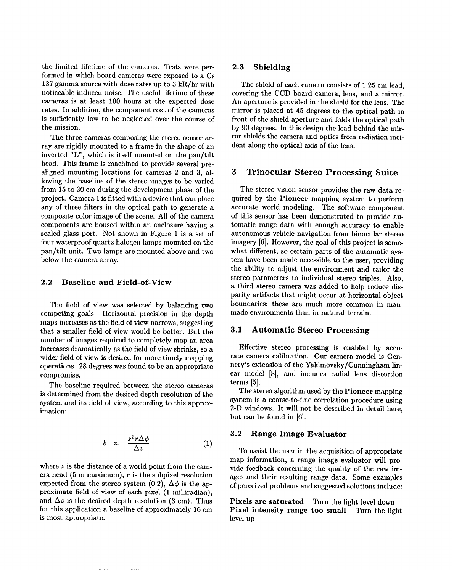the limited lifetime of the cameras. Tests were performed in which board cameras were exposed to a Cs 137 gamma source with dose rates up to 3 kR/hr with noticeable induced noise. The useful lifetime of these cameras is at least 100 hours at the expected dose rates. In addition, the component cost of the cameras is sufficiently low to be neglected over the course of the mission.

The three cameras composing the stereo sensor array are rigidly mounted to a frame in the shape of an inverted "L", which is itself mounted on the pan/tilt head. This frame is machined to provide several prealigned mounting locations for cameras 2 and 3, allowing the baseline of the stereo images to be varied from 15 to 30 cm during the development phase of the project. Camera 1 is fitted with a device that can place any of three filters in the optical path to generate a composite color image of the scene. All of the camera components are housed within an enclosure having a sealed glass port. Not shown in Figure 1 is a set of four waterproof quartz halogen lamps mounted on the pan/tilt unit. Two lamps are mounted above and two below the camera array.

# 2.2 Baseline and Field-of-View

The field of view was selected by balancing two competing goals. Horizontal precision in the depth maps increases as the field of view narrows, suggesting that a smaller field of view would be better. But the number of images required to completely map an area increases dramatically as the field of view shrinks, so a wider field of view is desired for more timely mapping operations. 28 degrees was found to be an appropriate compromise.

The baseline required between the stereo cameras is determined from the desired depth resolution of the system and its field of view, according to this approximation:

$$
b \approx \frac{z^2 r \Delta \phi}{\Delta z} \tag{1}
$$

where z is the distance of a world point from the camera head  $(5 \text{ m maximum})$ ,  $r$  is the subpixel resolution expected from the stereo system (0.2),  $\Delta\phi$  is the approximate field of view of each pixel (1 milliradian), and  $\Delta z$  is the desired depth resolution (3 cm). Thus for this application a baseline of approximately 16 cm is most appropriate.

# 2.3 Shielding

The shield of each camera consists of 1.25 cm lead, covering the CCD board camera, lens, and a mirror. An aperture is provided in the shield for the lens. The mirror is placed at 45 degrees to the optical path in front of the shield aperture and folds the optical path by 90 degrees. In this design the lead behind the mirror shields the camera and optics from radiation incident along the optical axis of the lens.

# 3 Trinocular Stereo Processing **Suite**

The stereo vision sensor provides the raw data required by the Pioneer mapping system to perform accurate world modeling. The software component of this sensor has been demonstrated to provide automatic range data with enough accuracy to enable autonomous vehicle navigation from binocular stereo imagery [6], However, the goal of this project is somewhat different, so certain parts of the automatic system have been made accessible to the user, providing the ability to adjust the environment and tailor the stereo parameters to individual stereo triples. Also, a third stereo camera was added to help reduce disparity artifacts that might occur at horizontal object boundaries; these are much more common in manmade environments than in natural terrain,

#### 3.1 **Automatic Stereo Processing**

Effective stereo processing is enabled by accurate camera calibration. Our camera model is Gennery's extension of the Yakimovsky/Cunningham linear model [8], and includes radial lens distortion terms [5].

The stereo algorithm used by the Pioneer mapping system is a coarse-to-fine correlation procedure using 2-D windows. It will not be described in detail here, but can be found in [6].

### 3.2 **Range Image Evaluator**

To assist the user in the acquisition of appropriate map information, a range image evaluator will provide feedback concerning the quality of the raw images and their resulting range data. Some examples of perceived problems and suggested solutions include:

**Pixels are saturated** Turn the light level down Pixel intensity range too small Turn the light level up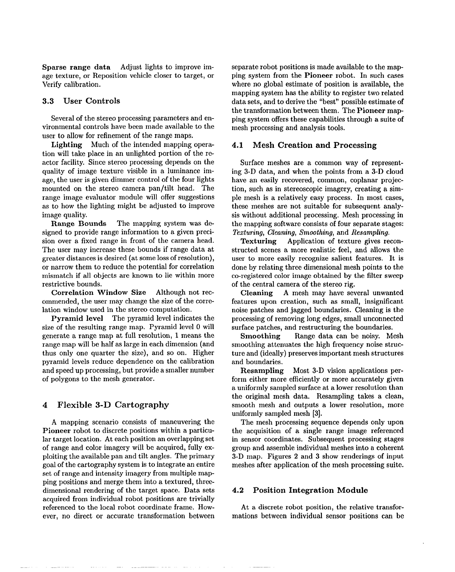**Sparse range data** Adjust lights to improve image texture, or Reposition vehicle closer to target, or Verify calibration.

### **3.3 User Controls**

Several of the stereo processing parameters and environmental controls have been made available to the user to allow for refinement of the range maps.

**Lighting** Much of the intended mapping operation will take place in an unlighted portion of the reactor facility. Since stereo processing depends on the quality of image texture visible in a luminance image, the user is given dimmer control of the four lights mounted on the stereo camera pan/tilt head. The range image evaluator module will offer suggestions as to how the lighting might be adjusted to improve image quality.

Range Bounds The mapping system was designed to provide range information to a given precision over a fixed range in front of the camera head. The user may increase these bounds if range data at greater distances is desired (at some loss of resolution), or narrow them to reduce the potential for correlation mismatch if all objects are known to lie within more restrictive bounds.

Correlation Window Size Although not recommended, the user may change the size of the correlation window used in the stereo computation.

Pyramid level The pyramid level indicates the size of the resulting range map. Pyramid level O will generate a range map at full resolution, 1 means the range map will be half as large in each dimension (and thus only one quarter the size), and so on. Higher pyramid levels reduce dependence on the calibration and speed up processing, but provide a smaller number of polygons to the mesh generator.

# **4 Flexible 3-D Cartography**

A mapping scenario consists of maneuvering the Pioneer robot to discrete positions within a particular target location. At each position an overlapping set of range and color imagery will be acquired, fully exploiting the available pan and tilt angles. The primary goal of the cartography system is to integrate an entire set of range and intensity imagery from multiple mapping positions and merge them into a textured, threedimensional rendering of the target space. Data sets acquired from individual robot positions are trivially referenced to the local robot coordinate frame. However, no direct or accurate transformation between separate robot positions is made available to the mapping system from the Pioneer robot. In such cases where no global estimate of position is available, the mapping system has the ability to register two related data sets, and to derive the "best" possible estimate of the transformation between them. The Pioneer mapping system offers these capabilities through a suite of mesh processing and analysis tools.

#### **4.1 Mesh Creation and Processing**

Surface meshes are a common way of representing 3-D data, and when the points from a 3-D cloud have an easily recovered, common, coplanar projection, such as in stereoscopic imagery, creating a simple mesh is a relatively easy process. In most cases, these meshes are not suitable for subsequent analysis without additional processing. Mesh processing in the mapping software consists of four separate stages: *Texturing, Cleaning, Smoothing,* and *Resampling.*

Texturing Application of texture gives reconstructed scenes a more realistic feel, and allows the user to more easily recognize salient features. It is done by relating three dimensional mesh points to the co-registered color image obtained by the filter sweep of the central camera of the stereo rig.

Cleaning A mesh may have several unwanted features upon creation, such as small, insignificant noise patches and jagged boundaries. Cleaning is the processing of removing long edges, small unconnected surface patches, and restructuring the boundaries.

Smoothing Range data can be noisy. Mesh smoothing attenuates the high frequency noise structure and (ideally) preserves important mesh structures and boundaries.

Resampling Most 3-D vision applications perform either more efficiently or more accurately given a uniformly sampled surface at a lower resolution than the original mesh data. Resampling takes a clean, smooth mesh and outputs a lower resolution, more uniformly sampled mesh [3].

The mesh processing sequence depends only upon the acquisition of a single range image referenced in sensor coordinates. Subsequent processing stages group and assemble individual meshes into a coherent 3-D map. Figures 2 and 3 show renderings of input meshes after application of the mesh processing suite.

### 4.2 Position Integration Module

At a discrete robot position, the relative transformations between individual sensor positions can be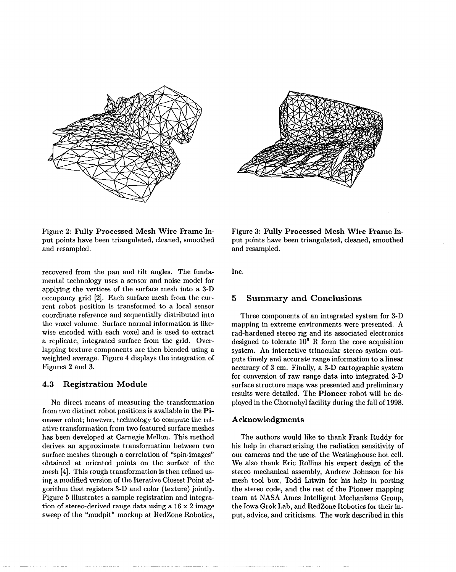



Figure 2: Fully Processed Mesh Wire Frame Input points have been triangulated, cleaned, smoothed and resampled.

recovered from the pan and tilt angles. The fundamental technology uses a sensor and noise model for applying the vertices of the surface mesh into a 3-D occupancy grid [2]. Each surface mesh from the current robot position is transformed to a local sensor coordinate reference and sequentially distributed into the voxel volume. Surface normal information is likewise encoded with each voxel and is used to extract a replicate, integrated surface from the grid. Overlapping texture components are then blended using a weighted average. Figure 4 displays the integration of Figures 2 and 3.

#### 4.3 **Registration Module**

No direct means of measuring the transformation from two distinct robot positions is available in the **Pi**oneer robot; however, technology to compute the relative transformation from two featured surface meshes has been developed at Carnegie Mellon. This method derives an approximate transformation between two surface meshes through a correlation of "spin-images" obtained at oriented points on the surface of the mesh [4]. This rough transformation is then refined using a modified version of the Iterative Closest Point algorithm that registers 3-D and color (texture) jointly. Figure 5 illustrates a sample registration and integration of sterec-derived range data using a 16 x 2 image sweep of the "mudpit" mockup at RedZone Robotics,

Figure 3: **Fully Processed Mesh Wire Frame** Input points have been triangulated, cleaned, smoothed and resampled.

Inc.

#### **5 Summary and Conclusions**

Three components of an integrated system for 3-D mapping in extreme environments were presented. A rad-hardened stereo rig and its associated electronics designed to tolerate  $10^6$  R form the core acquisition system. An interactive trinocular stereo system outputs timely and accurate range information to a linear accuracy of 3 cm. Finally, a 3-D cartographic system for conversion of raw range data into integrated 3-D surface structure maps was presented and preliminary results were detailed. The Pioneer robot will be deployed in the Chernobyl facility during the fall of 1998.

#### **Acknowledgments**

The authors would like to thank Frank Ruddy for his help in characterizing the radiation sensitivity of our cameras and the use of the Westinghouse hot cell. We also thank Eric Rollins his expert design of the stereo mechanical assembly, Andrew Johnson for his mesh tool box, Todd Litwin for his help in porting the stereo code, and the rest of the Pioneer mapping team at NASA Ames Intelligent Mechanisms Group, the Iowa Grok Lab, and RedZone Robotics for their input, advice, and criticisms. The work described in this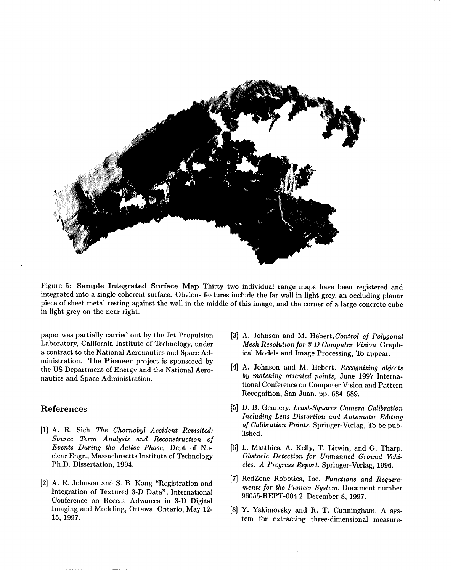

Figure 5: Sample Integrated Surface Map Thirty two individual range maps have been registered and integrated into a single coherent surface. Obvious features include the far wall in light grey, an occluding planar piece of sheet metal resting against the wall in the middle of this image, and the corner of a large concrete cube in light grey on the near right.

paper was partially carried out by the Jet Propulsion Laboratory, California Institute of Technology, under a contract to the National Aeronautics and Space Administration. The Pioneer project is sponsored by the US Department of Energy and the National Aeronautics and Space Administratic

# References

- [1] A. R. Sich *The Chernobyl Accident Revisited: Source Term Analysis* and *Reconstruction of Events During the Active Phase,* Dept of Nuclear Engr., Massachusetts Institute of Technology Ph.D. Dissertation, 1994.
- [2] A. E. Johnson and S. B. Kang "Registration and Integration of Textured 3-D Data", International Conference on Recent Advances in 3-D Digital Imaging and Modeling, Ottawa, Ontario, May 12- 15, 1997.
- *[3]* A. Johnson and M. Hebert, *Control of Polygonal Mesh Resolution for 3-D Computer Vision.* Graphical Models and Image Processing, To appear.
- *[4]* A. Johnson and M. Hebert. *Recognizing objects by matching oriented points,* June 1997 International Conference on Computer Vision and Pattern Recognition, San Juan. pp. 684-689.
- *[5]* D. B. Gennery. *Least-Squares Camera Calibration Including Lens Distortion and Automatic Editing of Calibration Points.* Springer-Verlag, To be published.
- [6] L. Matthies, A. Kelly, T. Litwin, and G. Thar *Obstacle Detection for Unmanned Ground Vehicles: A Progress Report.* Springer-Verlag, 1996.
- *[7]* RedZone Robotics, Inc. *Functions and Requirements for the* Pioneer *System.* Document number 96055-REPT-O04.2, December 8, 1997.
- *[8]* Y. Yakimovsky and R, T. Cunningham. A system for extracting three-dimensional measure-